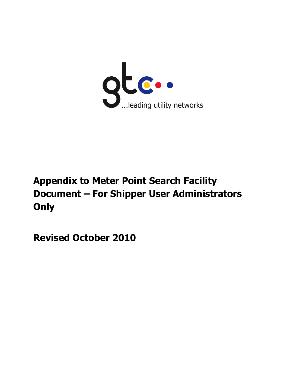

# **Appendix to Meter Point Search Facility Document – For Shipper User Administrators Only**

**Revised October 2010**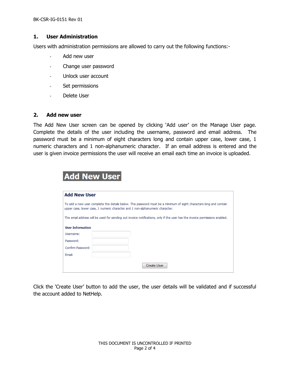BK-CSR-IG-0151 Rev 01

### **1. User Administration**

Users with administration permissions are allowed to carry out the following functions:-

- Add new user
- Change user password

Add Now Heavy

- Unlock user account
- Set permissions
- Delete User

#### **2. Add new user**

The Add New User screen can be opened by clicking 'Add user' on the Manage User page. Complete the details of the user including the username, password and email address. The password must be a minimum of eight characters long and contain upper case, lower case, 1 numeric characters and 1 non-alphanumeric character. If an email address is entered and the user is given invoice permissions the user will receive an email each time an invoice is uploaded.

| <b>Add New User</b>     |                                                                                                                                                                                                    |
|-------------------------|----------------------------------------------------------------------------------------------------------------------------------------------------------------------------------------------------|
|                         | To add a new user complete the details below. The password must be a minimum of eight characters long and contain<br>upper case, lower case, 1 numeric character and 1 non-alphanumeric character. |
|                         |                                                                                                                                                                                                    |
|                         | The email address will be used for sending out invoice notifications, only if the user has the invoice permissions enabled.                                                                        |
| <b>User Information</b> |                                                                                                                                                                                                    |
| Username:               |                                                                                                                                                                                                    |
| Password:               |                                                                                                                                                                                                    |
|                         |                                                                                                                                                                                                    |
| Confirm Password:       |                                                                                                                                                                                                    |

Click the 'Create User' button to add the user, the user details will be validated and if successful the account added to NetHelp.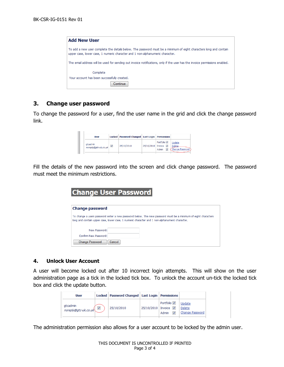| <b>Add New User</b>                                                                                                                                                                                |
|----------------------------------------------------------------------------------------------------------------------------------------------------------------------------------------------------|
| To add a new user complete the details below. The password must be a minimum of eight characters long and contain<br>upper case, lower case, 1 numeric character and 1 non-alphanumeric character. |
| The email address will be used for sending out invoice notifications, only if the user has the invoice permissions enabled.                                                                        |
| Complete                                                                                                                                                                                           |
| Your account has been successfully created.                                                                                                                                                        |
| Continue                                                                                                                                                                                           |

## **3. Change user password**

To change the password for a user, find the user name in the grid and click the change password link.

| <b>User</b>                      |                         | Locked   Password Changed   Last Login   Permissions |                      |                                                     |                                     |
|----------------------------------|-------------------------|------------------------------------------------------|----------------------|-----------------------------------------------------|-------------------------------------|
| atcadmin<br>noreply@gtc-uk.co.uk | $\overline{\mathsf{v}}$ | 25/10/2010                                           | 25/10/2010 Invoice V | Portfolio <sup>[7]</sup><br>$\overline{v}$<br>Admin | Update<br>Delete<br>Change Password |

Fill the details of the new password into the screen and click change password. The password must meet the minimum restrictions.

| <b>Change User Password</b> |                                                                                                                                                                                                                 |  |  |  |  |
|-----------------------------|-----------------------------------------------------------------------------------------------------------------------------------------------------------------------------------------------------------------|--|--|--|--|
| <b>Change password</b>      |                                                                                                                                                                                                                 |  |  |  |  |
|                             | To change a users password enter a new password below. The new password must be a minimum of eight characters<br>long and contain upper case, lower case, 1 numeric character and 1 non-alphanumeric character. |  |  |  |  |
| New Password:               |                                                                                                                                                                                                                 |  |  |  |  |
| Confirm New Password:       |                                                                                                                                                                                                                 |  |  |  |  |
| <b>Change Password</b>      | Cancel                                                                                                                                                                                                          |  |  |  |  |

### **4. Unlock User Account**

A user will become locked out after 10 incorrect login attempts. This will show on the user administration page as a tick in the locked tick box. To unlock the account un-tick the locked tick box and click the update button.

| <b>User</b>                                           | Locked   Password Changed   Last Login   Permissions |                      |                             |                                     |
|-------------------------------------------------------|------------------------------------------------------|----------------------|-----------------------------|-------------------------------------|
| gtcadmin<br>$\overline{\text{properly@gtc-uk.co.uk}}$ | 25/10/2010                                           | 25/10/2010 Invoice 図 | Portfolio <b>⊽</b><br>Admin | Update<br>Delete<br>Change Password |

The administration permission also allows for a user account to be locked by the admin user.